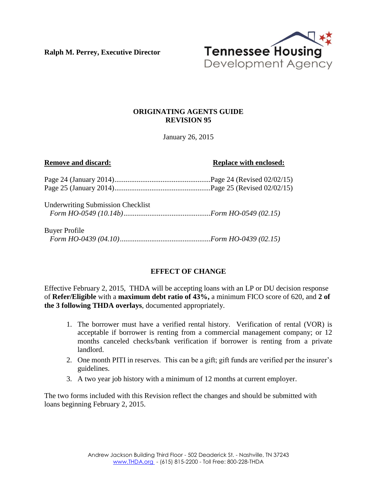**Ralph M. Perrey, Executive Director**



## **ORIGINATING AGENTS GUIDE REVISION 95**

January 26, 2015

#### **Remove and discard: Replace with enclosed: Replace with enclosed:**

Underwriting Submission Checklist *Form HO-0549 (10.14b)...............................................Form HO-0549 (02.15)*

### Buyer Profile *Form HO-0439 (04.10).................................................Form HO-0439 (02.15)*

## **EFFECT OF CHANGE**

Effective February 2, 2015, THDA will be accepting loans with an LP or DU decision response of **Refer/Eligible** with a **maximum debt ratio of 43%,** a minimum FICO score of 620, and **2 of the 3 following THDA overlays**, documented appropriately.

- 1. The borrower must have a verified rental history. Verification of rental (VOR) is acceptable if borrower is renting from a commercial management company; or 12 months canceled checks/bank verification if borrower is renting from a private landlord.
- 2. One month PITI in reserves. This can be a gift; gift funds are verified per the insurer's guidelines.
- 3. A two year job history with a minimum of 12 months at current employer.

The two forms included with this Revision reflect the changes and should be submitted with loans beginning February 2, 2015.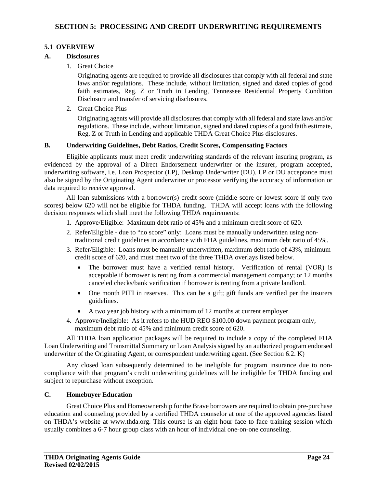#### **5.1 OVERVIEW**

#### **A. Disclosures**

1. Great Choice

Originating agents are required to provide all disclosures that comply with all federal and state laws and/or regulations. These include, without limitation, signed and dated copies of good faith estimates, Reg. Z or Truth in Lending, Tennessee Residential Property Condition Disclosure and transfer of servicing disclosures.

2. Great Choice Plus

Originating agents will provide all disclosures that comply with all federal and state laws and/or regulations. These include, without limitation, signed and dated copies of a good faith estimate, Reg. Z or Truth in Lending and applicable THDA Great Choice Plus disclosures.

#### **B. Underwriting Guidelines, Debt Ratios, Credit Scores, Compensating Factors**

Eligible applicants must meet credit underwriting standards of the relevant insuring program, as evidenced by the approval of a Direct Endorsement underwriter or the insurer, program accepted, underwriting software, i.e. Loan Prospector (LP), Desktop Underwriter (DU). LP or DU acceptance must also be signed by the Originating Agent underwriter or processor verifying the accuracy of information or data required to receive approval.

All loan submissions with a borrower(s) credit score (middle score or lowest score if only two scores) below 620 will not be eligible for THDA funding. THDA will accept loans with the following decision responses which shall meet the following THDA requirements:

- 1. Approve/Eligible: Maximum debt ratio of 45% and a minimum credit score of 620.
- 2. Refer/Eligible due to "no score" only: Loans must be manually underwritten using non tradiitonal credit guidelines in accordance with FHA guidelines, maximum debt ratio of 45%.
- 3. Refer/Eligible: Loans must be manually underwritten, maximum debt ratio of 43%, minimum credit score of 620, and must meet two of the three THDA overlays listed below.
	- The borrower must have a verified rental history. Verification of rental (VOR) is acceptable if borrower is renting from a commercial management company; or 12 months canceled checks/bank verification if borrower is renting from a private landlord.
	- One month PITI in reserves. This can be a gift; gift funds are verified per the insurers guidelines.
	- A two year job history with a minimum of 12 months at current employer.
- 4. Approve/Ineligible: As it refers to the HUD REO \$100.00 down payment program only, maximum debt ratio of 45% and minimum credit score of 620.

All THDA loan application packages will be required to include a copy of the completed FHA Loan Underwriting and Transmittal Summary or Loan Analysis signed by an authorized program endorsed underwriter of the Originating Agent, or correspondent underwriting agent. (See Section 6.2. K)

Any closed loan subsequently determined to be ineligible for program insurance due to noncompliance with that program's credit underwriting guidelines will be ineligible for THDA funding and subject to repurchase without exception.

#### **C. Homebuyer Education**

Great Choice Plus and Homeownership for the Brave borrowers are required to obtain pre-purchase education and counseling provided by a certified THDA counselor at one of the approved agencies listed on THDA's website at www.thda.org. This course is an eight hour face to face training session which usually combines a 6-7 hour group class with an hour of individual one-on-one counseling.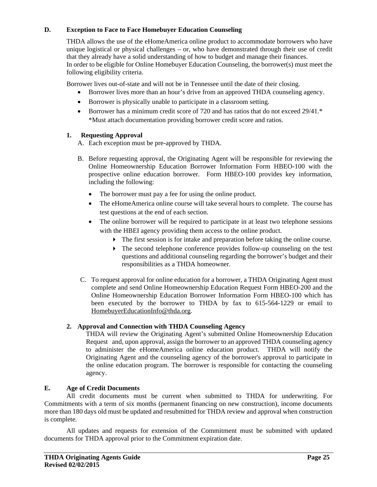#### **D. Exception to Face to Face Homebuyer Education Counseling**

THDA allows the use of the eHomeAmerica online product to accommodate borrowers who have unique logistical or physical challenges – or, who have demonstrated through their use of credit that they already have a solid understanding of how to budget and manage their finances. In order to be eligible for Online Homebuyer Education Counseling, the borrower(s) must meet the following eligibility criteria.

Borrower lives out-of-state and will not be in Tennessee until the date of their closing.

- Borrower lives more than an hour's drive from an approved THDA counseling agency.
- Borrower is physically unable to participate in a classroom setting.
- Borrower has a minimum credit score of 720 and has ratios that do not exceed 29/41.\* \*Must attach documentation providing borrower credit score and ratios.

## **1. Requesting Approval**

A. Each exception must be pre-approved by THDA.

- B. Before requesting approval, the Originating Agent will be responsible for reviewing the Online Homeownership Education Borrower Information Form HBEO-100 with the prospective online education borrower. Form HBEO-100 provides key information, including the following:
	- The borrower must pay a fee for using the online product.
	- The eHomeAmerica online course will take several hours to complete. The course has test questions at the end of each section.
	- The online borrower will be required to participate in at least two telephone sessions with the HBEI agency providing them access to the online product.
		- The first session is for intake and preparation before taking the online course.
		- The second telephone conference provides follow-up counseling on the test questions and additional counseling regarding the borrower's budget and their responsibilities as a THDA homeowner.
- C. To request approval for online education for a borrower, a THDA Originating Agent must complete and send Online Homeownership Education Request Form HBEO-200 and the Online Homeownership Education Borrower Information Form HBEO-100 which has been executed by the borrower to THDA by fax to 615-564-1229 or email to HomebuyerEducationInfo@thda.org.

## **2. Approval and Connection with THDA Counseling Agency**

THDA will review the Originating Agent's submitted Online Homeownership Education Request and, upon approval, assign the borrower to an approved THDA counseling agency to administer the eHomeAmerica online education product. THDA will notify the Originating Agent and the counseling agency of the borrower's approval to participate in the online education program. The borrower is responsible for contacting the counseling agency.

## **E. Age of Credit Documents**

All credit documents must be current when submitted to THDA for underwriting. For Commitments with a term of six months (permanent financing on new construction), income documents more than 180 days old must be updated and resubmitted for THDA review and approval when construction is complete.

All updates and requests for extension of the Commitment must be submitted with updated documents for THDA approval prior to the Commitment expiration date.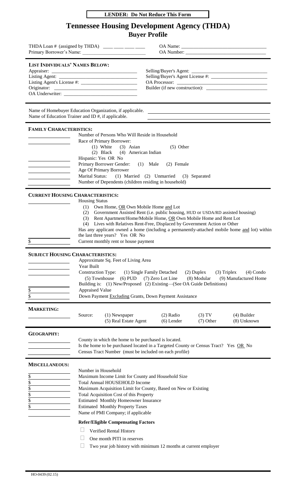|  | <b>LENDER: Do Not Reduce This Form</b> |  |
|--|----------------------------------------|--|
|--|----------------------------------------|--|

# **Tennessee Housing Development Agency (THDA) Buyer Profile**

| THDA Loan # (assigned by THDA) ____ ____ ____ ____<br>Primary Borrower's Name:                                 |                                                                                    |                                                                                                                                                                                                                                                                                                                                                                                                                                                                    |                             |                             |                                                                                                                       |
|----------------------------------------------------------------------------------------------------------------|------------------------------------------------------------------------------------|--------------------------------------------------------------------------------------------------------------------------------------------------------------------------------------------------------------------------------------------------------------------------------------------------------------------------------------------------------------------------------------------------------------------------------------------------------------------|-----------------------------|-----------------------------|-----------------------------------------------------------------------------------------------------------------------|
| <b>LIST INDIVIDUALS' NAMES BELOW:</b>                                                                          |                                                                                    |                                                                                                                                                                                                                                                                                                                                                                                                                                                                    |                             |                             |                                                                                                                       |
| Name of Homebuyer Education Organization, if applicable.<br>Name of Education Trainer and ID #, if applicable. |                                                                                    |                                                                                                                                                                                                                                                                                                                                                                                                                                                                    |                             |                             | <u> 1989 - Johann Stoff, deutscher Stoffen und der Stoffen und der Stoffen und der Stoffen und der Stoffen und de</u> |
| <b>FAMILY CHARACTERISTICS:</b><br><u> 1980 - Johann Barbara, martxa a</u>                                      | Hispanic: Yes OR No                                                                | Number of Persons Who Will Reside in Household<br>Race of Primary Borrower:<br>$(1)$ White $(3)$ Asian<br>(2) Black (4) American Indian<br>Primary Borrower Gender: (1) Male<br>Age Of Primary Borrower<br>Marital Status: (1) Married (2) Unmarried (3) Separated<br>Number of Dependents (children residing in household)                                                                                                                                        | $(5)$ Other<br>(2) Female   |                             |                                                                                                                       |
| <b>CURRENT HOUSING CHARACTERISTICS:</b><br>\$                                                                  | <b>Housing Status</b>                                                              | (1) Own Home, OR Own Mobile Home and Lot<br>(2) Government Assisted Rent (i.e. public housing, HUD or USDA/RD assisted housing)<br>(3) Rent Apartment/Home/Mobile Home, OR Own Mobile Home and Rent Lot<br>(4) Lives with Relatives Rent-Free, Displaced by Government Action or Other<br>Has any applicant owned a home (including a permanently-attached mobile home and lot) within<br>the last three years? Yes OR No<br>Current monthly rent or house payment |                             |                             |                                                                                                                       |
| <b>SUBJECT HOUSING CHARACTERISTICS:</b><br>$\frac{1}{2}$<br>\$                                                 | Year Built<br><b>Construction Type:</b><br>(5) Townhouse<br><b>Appraised Value</b> | Approximate Sq. Feet of Living Area<br>(1) Single Family Detached<br>$(6)$ PUD<br>Building is: (1) New/Proposed (2) Existing—(See OA Guide Definitions)<br>Down Payment Excluding Grants, Down Payment Assistance                                                                                                                                                                                                                                                  | (7) Zero Lot Line           | $(2)$ Duplex<br>(8) Modular | $(3)$ Triplex<br>$(4)$ Condo<br>(9) Manufactured Home                                                                 |
| <b>MARKETING:</b>                                                                                              | Source:                                                                            | (1) Newspaper<br>(5) Real Estate Agent                                                                                                                                                                                                                                                                                                                                                                                                                             | $(2)$ Radio<br>$(6)$ Lender | (3) TV<br>$(7)$ Other       | $(4)$ Builder<br>(8) Unknown                                                                                          |
| <b>GEOGRAPHY:</b>                                                                                              |                                                                                    | County in which the home to be purchased is located.<br>Is the home to be purchased located in a Targeted County or Census Tract? Yes OR No<br>Census Tract Number (must be included on each profile)                                                                                                                                                                                                                                                              |                             |                             |                                                                                                                       |
| <b>MISCELLANEOUS:</b><br>\$<br>\$<br>$rac{1}{2}$<br>\$                                                         | Number in Household                                                                | Maximum Income Limit for County and Household Size<br><b>Total Annual HOUSEHOLD Income</b><br>Maximum Acquisition Limit for County, Based on New or Existing<br>Total Acquisition Cost of this Property<br>Estimated Monthly Homeowner Insurance<br><b>Estimated Monthly Property Taxes</b><br>Name of PMI Company; if applicable<br><b>Refer/Eligible Compensating Factors</b><br>Verified Rental History<br>One month PITI in reserves                           |                             |                             |                                                                                                                       |